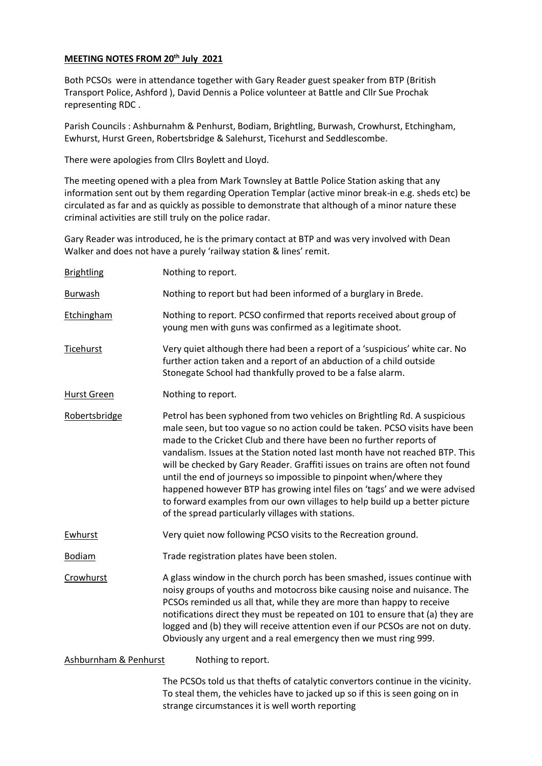## **MEETING NOTES FROM 20 th July 2021**

Both PCSOs were in attendance together with Gary Reader guest speaker from BTP (British Transport Police, Ashford ), David Dennis a Police volunteer at Battle and Cllr Sue Prochak representing RDC .

Parish Councils : Ashburnahm & Penhurst, Bodiam, Brightling, Burwash, Crowhurst, Etchingham, Ewhurst, Hurst Green, Robertsbridge & Salehurst, Ticehurst and Seddlescombe.

There were apologies from Cllrs Boylett and Lloyd.

The meeting opened with a plea from Mark Townsley at Battle Police Station asking that any information sent out by them regarding Operation Templar (active minor break-in e.g. sheds etc) be circulated as far and as quickly as possible to demonstrate that although of a minor nature these criminal activities are still truly on the police radar.

Gary Reader was introduced, he is the primary contact at BTP and was very involved with Dean Walker and does not have a purely 'railway station & lines' remit.

| <b>Brightling</b> | Nothing to report.                                                                                                                                                                                                                                                                                                                                                                                                                                                                                                                                                                                                                                                                        |
|-------------------|-------------------------------------------------------------------------------------------------------------------------------------------------------------------------------------------------------------------------------------------------------------------------------------------------------------------------------------------------------------------------------------------------------------------------------------------------------------------------------------------------------------------------------------------------------------------------------------------------------------------------------------------------------------------------------------------|
| <b>Burwash</b>    | Nothing to report but had been informed of a burglary in Brede.                                                                                                                                                                                                                                                                                                                                                                                                                                                                                                                                                                                                                           |
| <b>Etchingham</b> | Nothing to report. PCSO confirmed that reports received about group of<br>young men with guns was confirmed as a legitimate shoot.                                                                                                                                                                                                                                                                                                                                                                                                                                                                                                                                                        |
| Ticehurst         | Very quiet although there had been a report of a 'suspicious' white car. No<br>further action taken and a report of an abduction of a child outside<br>Stonegate School had thankfully proved to be a false alarm.                                                                                                                                                                                                                                                                                                                                                                                                                                                                        |
| Hurst Green       | Nothing to report.                                                                                                                                                                                                                                                                                                                                                                                                                                                                                                                                                                                                                                                                        |
| Robertsbridge     | Petrol has been syphoned from two vehicles on Brightling Rd. A suspicious<br>male seen, but too vague so no action could be taken. PCSO visits have been<br>made to the Cricket Club and there have been no further reports of<br>vandalism. Issues at the Station noted last month have not reached BTP. This<br>will be checked by Gary Reader. Graffiti issues on trains are often not found<br>until the end of journeys so impossible to pinpoint when/where they<br>happened however BTP has growing intel files on 'tags' and we were advised<br>to forward examples from our own villages to help build up a better picture<br>of the spread particularly villages with stations. |
| <b>Ewhurst</b>    | Very quiet now following PCSO visits to the Recreation ground.                                                                                                                                                                                                                                                                                                                                                                                                                                                                                                                                                                                                                            |
| Bodiam            | Trade registration plates have been stolen.                                                                                                                                                                                                                                                                                                                                                                                                                                                                                                                                                                                                                                               |
| Crowhurst         | A glass window in the church porch has been smashed, issues continue with<br>noisy groups of youths and motocross bike causing noise and nuisance. The<br>PCSOs reminded us all that, while they are more than happy to receive<br>notifications direct they must be repeated on 101 to ensure that (a) they are<br>logged and (b) they will receive attention even if our PCSOs are not on duty.<br>Obviously any urgent and a real emergency then we must ring 999.                                                                                                                                                                                                                     |

Ashburnham & Penhurst Nothing to report.

The PCSOs told us that thefts of catalytic convertors continue in the vicinity. To steal them, the vehicles have to jacked up so if this is seen going on in strange circumstances it is well worth reporting